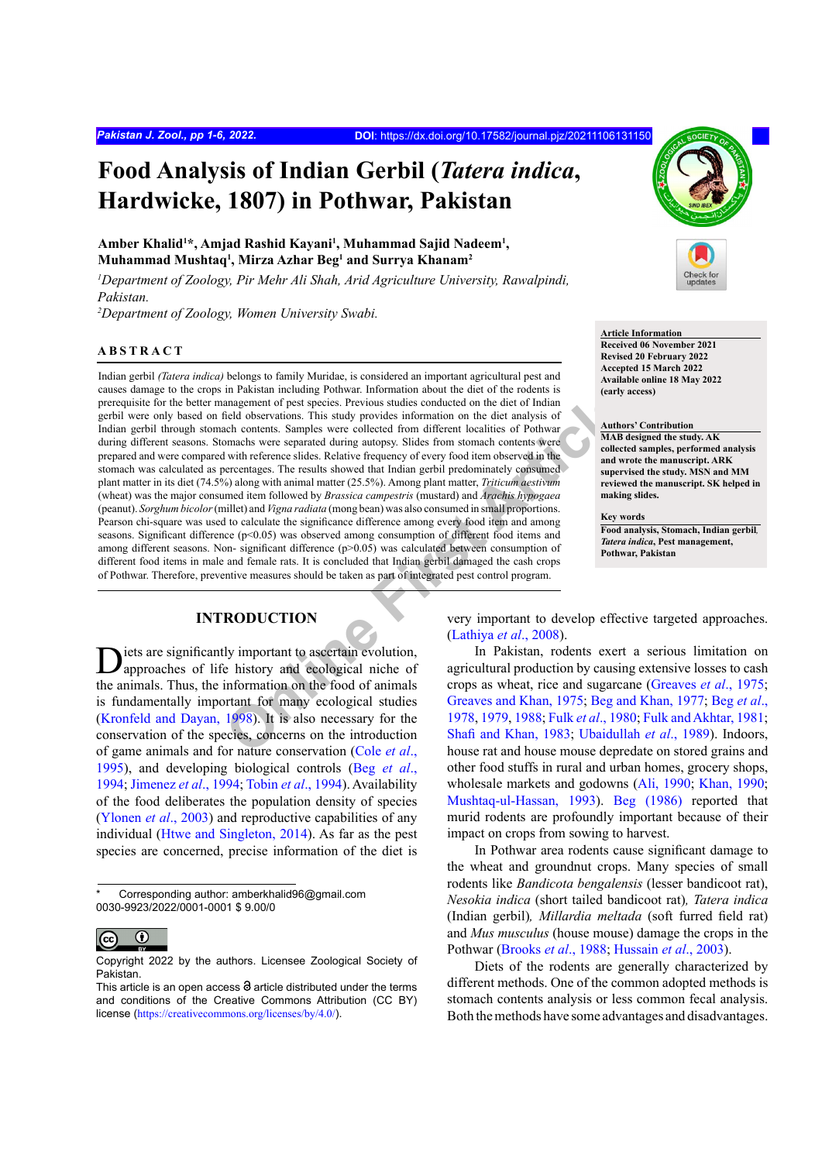# **Food Analysis of Indian Gerbil (***Tatera indica***, Hardwicke, 1807) in Pothwar, Pakistan**

Amber Khalid<sup>1\*</sup>, Amjad Rashid Kayani<sup>1</sup>, Muhammad Sajid Nadeem<sup>1</sup>, **Muhammad Mushtaq1 , Mirza Azhar Beg1 and Surrya Khanam2**

*1 Department of Zoology, Pir Mehr Ali Shah, Arid Agriculture University, Rawalpindi, Pakistan.*

*2 Department of Zoology, Women University Swabi.*

### **ABSTRACT**

In a salar mondang roundar intervalsant information about the color of the intervalsant and the state of the state of the state of the state of the state of the state of the state of the state of the coleration of the dist Indian gerbil *(Tatera indica)* belongs to family Muridae, is considered an important agricultural pest and causes damage to the crops in Pakistan including Pothwar. Information about the diet of the rodents is prerequisite for the better management of pest species. Previous studies conducted on the diet of Indian gerbil were only based on field observations. This study provides information on the diet analysis of Indian gerbil through stomach contents. Samples were collected from different localities of Pothwar during different seasons. Stomachs were separated during autopsy. Slides from stomach contents were prepared and were compared with reference slides. Relative frequency of every food item observed in the stomach was calculated as percentages. The results showed that Indian gerbil predominately consumed plant matter in its diet (74.5%) along with animal matter (25.5%). Among plant matter, *Triticum aestivum*  (wheat) was the major consumed item followed by *Brassica campestris* (mustard) and *Arachis hypogaea*  (peanut). *Sorghum bicolor* (millet) and *Vigna radiata* (mong bean) was also consumed in small proportions. Pearson chi-square was used to calculate the significance difference among every food item and among seasons. Significant difference (p<0.05) was observed among consumption of different food items and among different seasons. Non- significant difference (p>0.05) was calculated between consumption of different food items in male and female rats. It is concluded that Indian gerbil damaged the cash crops of Pothwar. Therefore, preventive measures should be taken as part of integrated pest control program.

# **INTRODUCTION**

iets are significantly important to ascertain evolution, approaches of life history and ecological niche of the animals. Thus, the information on the food of animals is fundamentally important for many ecological studies [\(Kronfeld and Dayan, 1998](#page-5-0)). It is also necessary for the conservation of the species, concerns on the introduction of game animals and for nature conservation (Cole *et al*., [1995\)](#page-4-0), and developing biological controls (Beg *[et al](#page-4-1)*., [1994;](#page-4-1) [Jimenez](#page-5-1) *et al*., 1994; Tobin *et al*[., 1994\)](#page-5-2). Availability of the food deliberates the population density of species [\(Ylonen](#page-5-3) *et al*., 2003) and reproductive capabilities of any individual ([Htwe and Singleton, 2014](#page-4-2)). As far as the pest species are concerned, precise information of the diet is

Corresponding author: amberkhalid96@gmail.com 0030-9923/2022/0001-0001 \$ 9.00/0



Copyright 2022 by the authors. Licensee Zoological Society of Pakistan.



### **Article Information**

**Received 06 November 2021 Revised 20 February 2022 Accepted 15 March 2022 Available online 18 May 2022 (early access)**

#### **Authors' Contribution**

**MAB designed the study. AK collected samples, performed analysis and wrote the manuscript. ARK supervised the study. MSN and MM reviewed the manuscript. SK helped in making slides.**

### **Key words**

**Food analysis, Stomach, Indian gerbil***, Tatera indica***, Pest management, Pothwar, Pakistan**

very important to develop effective targeted approaches. (Lathiya *et al*., 2008).

In Pakistan, rodents exert a serious limitation on agricultural production by causing extensive losses to cash crops as wheat, rice and sugarcane ([Greaves](#page-4-3) *et al*., 1975; Greaves and Khan, 1975; [Beg and Khan, 1977](#page-4-5); [Beg](#page-4-6) *et al*., 1978, 1979, 1988; Fulk *et al*., 1980; [Fulk and Akhtar, 1981;](#page-4-10) Shafi and Khan, 1983; Ubaidullah *et al*., 1989). Indoors, house rat and house mouse depredate on stored grains and other food stuffs in rural and urban homes, grocery shops, wholesale markets and godowns ([Ali, 1990](#page-4-11); [Khan, 1990](#page-5-7); [Mushtaq-ul-Hassan, 1993](#page-5-8)). [Beg \(1986\)](#page-4-12) reported that murid rodents are profoundly important because of their impact on crops from sowing to harvest.

In Pothwar area rodents cause significant damage to the wheat and groundnut crops. Many species of small rodents like *Bandicota bengalensis* (lesser bandicoot rat), *Nesokia indica* (short tailed bandicoot rat)*, Tatera indica*  (Indian gerbil)*, Millardia meltada* (soft furred field rat) and *Mus musculus* (house mouse) damage the crops in the Pothwar [\(Brooks](#page-4-13) *et al*., 1988; [Hussain](#page-4-14) *et al*., 2003).

Diets of the rodents are generally characterized by different methods. One of the common adopted methods is stomach contents analysis or less common fecal analysis. Both the methods have some advantages and disadvantages.

This article is an open access  $\Theta$  article distributed under the terms and conditions of the Creative Commons Attribution (CC BY) license (<https://creativecommons.org/licenses/by/4.0/>).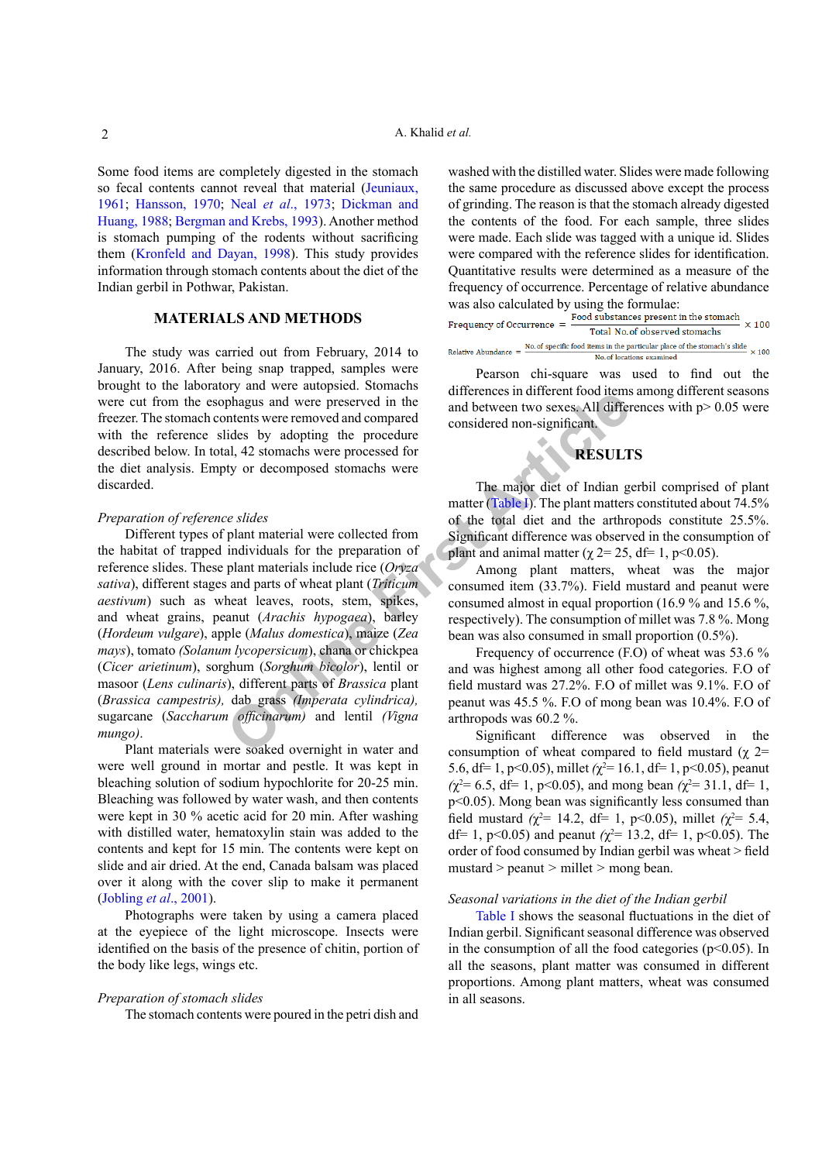Some food items are completely digested in the stomach so fecal contents cannot reveal that material [\(Jeuniaux,](#page-5-9) [1961;](#page-5-9) [Hansson, 1970](#page-4-15); Neal *et al*[., 1973](#page-5-10); [Dickman and](#page-4-16) [Huang, 1988](#page-4-16); [Bergman and Krebs, 1993](#page-4-17)). Another method is stomach pumping of the rodents without sacrificing them [\(Kronfeld and Dayan, 1998](#page-5-0)). This study provides information through stomach contents about the diet of the Indian gerbil in Pothwar, Pakistan.

# **MATERIALS AND METHODS**

The study was carried out from February, 2014 to January, 2016. After being snap trapped, samples were brought to the laboratory and were autopsied. Stomachs were cut from the esophagus and were preserved in the freezer. The stomach contents were removed and compared with the reference slides by adopting the procedure described below. In total, 42 stomachs were processed for the diet analysis. Empty or decomposed stomachs were discarded.

### *Preparation of reference slides*

phagus and were preserved in the<br>
and between two sexess All different<br>
intentions were proceedure<br>
all, 42 stomachs were proceedure<br>
all, 42 stomachs were proceedure<br>
2.1, 42 stomachs were the preserved in the state of t Different types of plant material were collected from the habitat of trapped individuals for the preparation of reference slides. These plant materials include rice (*Oryza sativa*), different stages and parts of wheat plant (*Triticum aestivum*) such as wheat leaves, roots, stem, spikes, and wheat grains, peanut (*Arachis hypogaea*), barley (*Hordeum vulgare*), apple (*Malus domestica*), maize (*Zea mays*), tomato *(Solanum lycopersicum*), chana or chickpea (*Cicer arietinum*), sorghum (*Sorghum bicolor*), lentil or masoor (*Lens culinaris*), different parts of *Brassica* plant (*Brassica campestris),* dab grass *(Imperata cylindrica),*  sugarcane (*Saccharum officinarum)* and lentil *(Vigna mungo)*.

Plant materials were soaked overnight in water and were well ground in mortar and pestle. It was kept in bleaching solution of sodium hypochlorite for 20-25 min. Bleaching was followed by water wash, and then contents were kept in 30 % acetic acid for 20 min. After washing with distilled water, hematoxylin stain was added to the contents and kept for 15 min. The contents were kept on slide and air dried. At the end, Canada balsam was placed over it along with the cover slip to make it permanent [\(Jobling](#page-5-11) *et al*., 2001).

Photographs were taken by using a camera placed at the eyepiece of the light microscope. Insects were identified on the basis of the presence of chitin, portion of the body like legs, wings etc.

### *Preparation of stomach slides*

The stomach contents were poured in the petri dish and

washed with the distilled water. Slides were made following the same procedure as discussed above except the process of grinding. The reason is that the stomach already digested the contents of the food. For each sample, three slides were made. Each slide was tagged with a unique id. Slides were compared with the reference slides for identification. Quantitative results were determined as a measure of the frequency of occurrence. Percentage of relative abundance

was also calculated by using the formulae:<br>Frequency of Occurrence  $=$   $\frac{Food \text{ substances present in the stomach}}{x}$  $\times 100$ Total No. of observed stomachs Relative Abundance =  $\frac{No. of specific food items in the particular place of the stomach's slide}{No. A. of the second year.} \times 100$ No. of locations examined

Pearson chi-square was used to find out the differences in different food items among different seasons and between two sexes. All differences with p> 0.05 were considered non-significant.

# **RESULTS**

The major diet of Indian gerbil comprised of plant matter (Table I). The plant matters constituted about 74.5% of the total diet and the arthropods constitute 25.5%. Significant difference was observed in the consumption of plant and animal matter ( $\gamma$  2= 25, df= 1, p<0.05).

Among plant matters, wheat was the major consumed item (33.7%). Field mustard and peanut were consumed almost in equal proportion (16.9 % and 15.6 %, respectively). The consumption of millet was 7.8 %. Mong bean was also consumed in small proportion (0.5%).

Frequency of occurrence (F.O) of wheat was 53.6 % and was highest among all other food categories. F.O of field mustard was 27.2%. F.O of millet was 9.1%. F.O of peanut was 45.5 %. F.O of mong bean was 10.4%. F.O of arthropods was 60.2 %.

Significant difference was observed in the consumption of wheat compared to field mustard ( $\chi$  2= 5.6, df= 1, p<0.05), millet  $(\chi^2 = 16.1, df = 1, p<0.05)$ , peanut  $(\chi^2 = 6.5, df = 1, p < 0.05)$ , and mong bean  $(\chi^2 = 31.1, df = 1,$ p<0.05). Mong bean was significantly less consumed than field mustard ( $\chi^2$ = 14.2, df= 1, p<0.05), millet ( $\chi^2$ = 5.4, df = 1, p<0.05) and peanut  $(\chi^2 = 13.2, df = 1, p < 0.05)$ . The order of food consumed by Indian gerbil was wheat > field mustard > peanut *>* millet *>* mong bean.

### *Seasonal variations in the diet of the Indian gerbil*

[Table I](#page-2-0) shows the seasonal fluctuations in the diet of Indian gerbil. Significant seasonal difference was observed in the consumption of all the food categories ( $p$ <0.05). In all the seasons, plant matter was consumed in different proportions. Among plant matters, wheat was consumed in all seasons.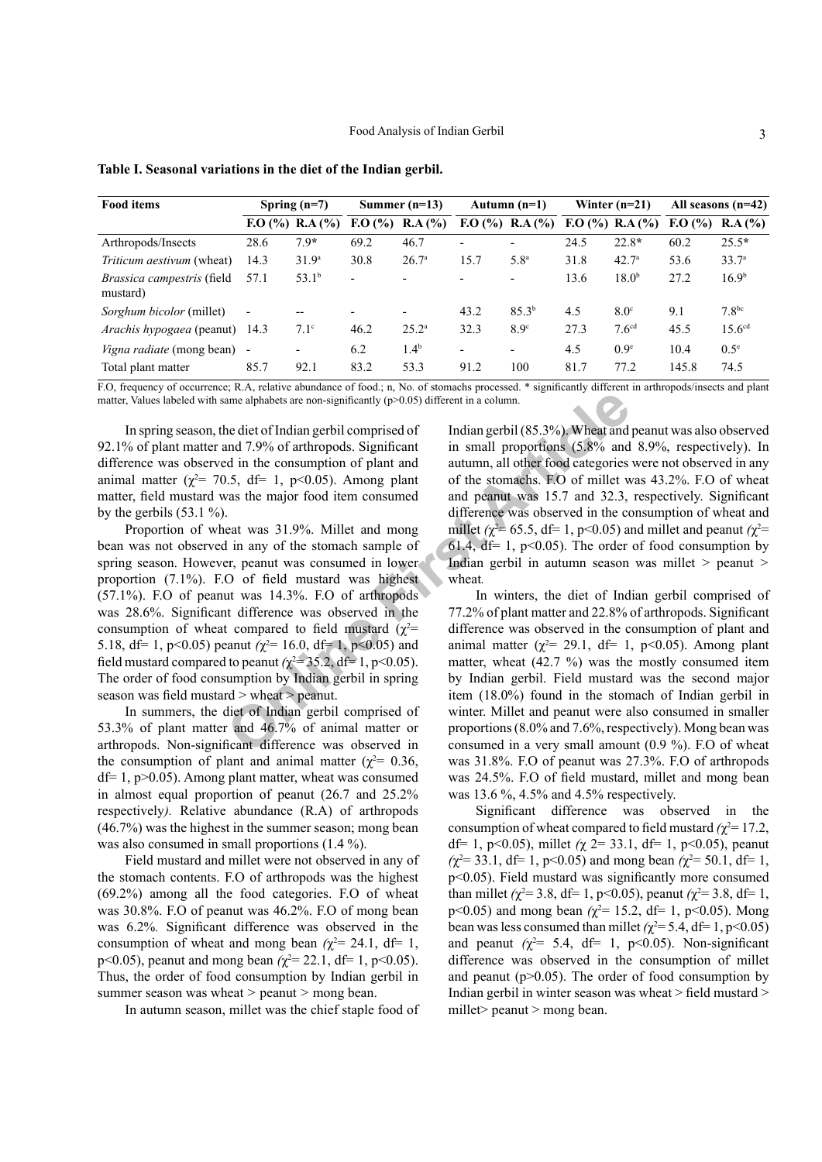| <b>Food items</b>                             | Spring $(n=7)$ |                          | Summer $(n=13)$          |                   | Autumn $(n=1)$           |                          | Winter $(n=21)$ |                   | All seasons $(n=42)$ |                    |
|-----------------------------------------------|----------------|--------------------------|--------------------------|-------------------|--------------------------|--------------------------|-----------------|-------------------|----------------------|--------------------|
|                                               |                | F. O (%) R.A (%)         | F. O (%)                 | RA(%)             |                          | F. O (%) R.A (%)         |                 | F. O (%) R.A (%)  | F. O (%)             | R.A(%)             |
| Arthropods/Insects                            | 28.6           | $7.9*$                   | 69.2                     | 46.7              | $\overline{\phantom{a}}$ |                          | 24.5            | $22.8*$           | 60.2                 | $25.5*$            |
| <i>Triticum aestivum</i> (wheat)              | 14.3           | 31.9 <sup>a</sup>        | 30.8                     | 26.7 <sup>a</sup> | 15.7                     | 5.8 <sup>a</sup>         | 31.8            | 42.7 <sup>a</sup> | 53.6                 | 33.7 <sup>a</sup>  |
| <i>Brassica campestris</i> (field<br>mustard) | 57.1           | 53.1 <sup>b</sup>        | $\overline{\phantom{a}}$ |                   | $\overline{\phantom{0}}$ | $\overline{\phantom{0}}$ | 13.6            | 18.0 <sup>b</sup> | 27.2                 | 16.9 <sup>b</sup>  |
| Sorghum bicolor (millet)                      | $\blacksquare$ | --                       | ٠                        |                   | 43.2                     | 85.3 <sup>b</sup>        | 4.5             | 8.0 <sup>c</sup>  | 9.1                  | 7.8 <sup>bc</sup>  |
| <i>Arachis hypogaea</i> (peanut) 14.3         |                | 7.1 <sup>c</sup>         | 46.2                     | $25.2^{\rm a}$    | 32.3                     | 8.9 <sup>c</sup>         | 27.3            | 7.6 <sup>cd</sup> | 45.5                 | 15.6 <sup>cd</sup> |
| <i>Vigna radiate</i> (mong bean) -            |                | $\overline{\phantom{0}}$ | 6.2                      | $1.4^{b}$         | $\overline{\phantom{a}}$ | -                        | 4.5             | 0.9 <sup>e</sup>  | 10.4                 | $0.5^{\circ}$      |
| Total plant matter                            | 85.7           | 92.1                     | 83.2                     | 53.3              | 91.2                     | 100                      | 81.7            | 77.2              | 145.8                | 74.5               |

<span id="page-2-0"></span>**Table I. Seasonal variations in the diet of the Indian gerbil.**

F.O, frequency of occurrence; R.A, relative abundance of food.; n, No. of stomachs processed. \* significantly different in arthropods/insects and plant matter, Values labeled with same alphabets are non-significantly  $(p>0.05)$  different in a column.

In spring season, the diet of Indian gerbil comprised of 92.1% of plant matter and 7.9% of arthropods. Significant difference was observed in the consumption of plant and animal matter ( $\chi^2$ = 70.5, df= 1, p<0.05). Among plant matter, field mustard was the major food item consumed by the gerbils  $(53.1 \%)$ .

From the diet of Indian gerbil (p>0.05) different in a column.<br>
Are alphabets are non-significantly (p>0.05) different in a column.<br>
Are diet of Indian gerbil comprised of Indian gerbil (85.3%). Wheat and<br>
and 7.9% of art Proportion of wheat was 31.9%. Millet and mong bean was not observed in any of the stomach sample of spring season. However, peanut was consumed in lower proportion (7.1%). F.O of field mustard was highest (57.1%). F.O of peanut was 14.3%. F.O of arthropods was 28.6%. Significant difference was observed in the consumption of wheat compared to field mustard ( $\chi^2$ = 5.18, df= 1, p<0.05) peanut  $\chi^2$ = 16.0, df= 1, p<0.05) and field mustard compared to peanut  $(\chi^2 = 35.2, df = 1, p < 0.05)$ . The order of food consumption by Indian gerbil in spring season was field mustard > wheat > peanut.

In summers, the diet of Indian gerbil comprised of 53.3% of plant matter and 46.7% of animal matter or arthropods. Non-significant difference was observed in the consumption of plant and animal matter ( $\chi^2$  = 0.36,  $df= 1$ ,  $p > 0.05$ ). Among plant matter, wheat was consumed in almost equal proportion of peanut (26.7 and 25.2% respectively*).* Relative abundance (R.A) of arthropods (46.7%) was the highest in the summer season; mong bean was also consumed in small proportions (1.4 %).

Field mustard and millet were not observed in any of the stomach contents. F.O of arthropods was the highest (69.2%) among all the food categories. F.O of wheat was 30.8%. F.O of peanut was 46.2%. F.O of mong bean was 6.2%*.* Significant difference was observed in the consumption of wheat and mong bean  $(\chi^2 = 24.1, df = 1,$ p<0.05), peanut and mong bean  $(\chi^2 = 22.1, df = 1, p < 0.05)$ . Thus, the order of food consumption by Indian gerbil in summer season was wheat *>* peanut *>* mong bean.

In autumn season, millet was the chief staple food of

Indian gerbil (85.3%). Wheat and peanut was also observed in small proportions (5.8% and 8.9%, respectively). In autumn, all other food categories were not observed in any of the stomachs. F.O of millet was 43.2%. F.O of wheat and peanut was 15.7 and 32.3, respectively. Significant difference was observed in the consumption of wheat and millet  $(\chi^2 = 65.5, df = 1, p < 0.05)$  and millet and peanut  $(\chi^2 = 1, \chi^2 = 1)$ 61.4,  $df = 1$ , p<0.05). The order of food consumption by Indian gerbil in autumn season was millet *>* peanut *>*  wheat*.* 

In winters, the diet of Indian gerbil comprised of 77.2% of plant matter and 22.8% of arthropods. Significant difference was observed in the consumption of plant and animal matter ( $\chi^2$  = 29.1, df = 1, p<0.05). Among plant matter, wheat  $(42.7 \%)$  was the mostly consumed item by Indian gerbil. Field mustard was the second major item (18.0%) found in the stomach of Indian gerbil in winter. Millet and peanut were also consumed in smaller proportions (8.0% and 7.6%, respectively). Mong bean was consumed in a very small amount (0.9 %). F.O of wheat was 31.8%. F.O of peanut was 27.3%. F.O of arthropods was 24.5%. F.O of field mustard, millet and mong bean was 13.6 %, 4.5% and 4.5% respectively.

Significant difference was observed in the consumption of wheat compared to field mustard  $(\chi^2 = 17.2)$ , df= 1, p<0.05), millet *(*χ 2= 33.1, df= 1, p<0.05), peanut  $(\chi^2 = 33.1, df = 1, p < 0.05)$  and mong bean  $(\chi^2 = 50.1, df = 1,$ p<0.05). Field mustard was significantly more consumed than millet  $(\chi^2 = 3.8, df = 1, p < 0.05)$ , peanut  $(\chi^2 = 3.8, df = 1,$  $p<0.05$ ) and mong bean ( $\chi^2$ = 15.2, df = 1, p<0.05). Mong bean was less consumed than millet  $(\chi^2 = 5.4, df = 1, p < 0.05)$ and peanut  $(\chi^2 = 5.4, df = 1, p<0.05)$ . Non-significant difference was observed in the consumption of millet and peanut ( $p > 0.05$ ). The order of food consumption by Indian gerbil in winter season was wheat > field mustard > millet> peanut > mong bean.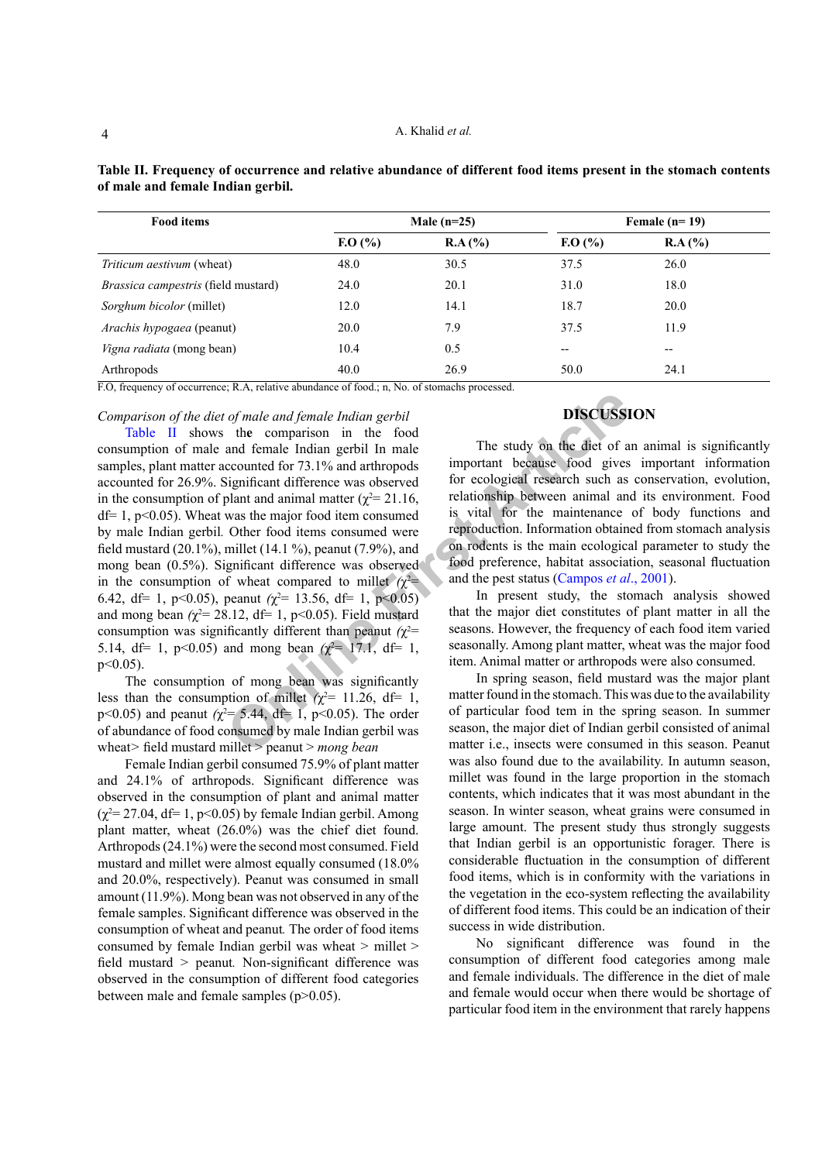| <b>Food items</b>                                                 |                                                     | Male $(n=25)$                                   |          | Female $(n=19)$ |  |  |
|-------------------------------------------------------------------|-----------------------------------------------------|-------------------------------------------------|----------|-----------------|--|--|
|                                                                   | F. O (%)                                            | RA(%)                                           | F. O (%) | RA(%)           |  |  |
| <i>Triticum aestivum</i> (wheat)                                  | 48.0                                                | 30.5                                            | 37.5     | 26.0            |  |  |
| <i>Brassica campestris</i> (field mustard)                        | 24.0                                                | 20.1                                            | 31.0     | 18.0            |  |  |
| Sorghum bicolor (millet)                                          | 12.0                                                | 14.1                                            | 18.7     | 20.0            |  |  |
| <i>Arachis hypogaea</i> (peanut)                                  | 20.0                                                | 7.9                                             | 37.5     | 11.9            |  |  |
| <i>Vigna radiata</i> (mong bean)                                  | 10.4                                                | 0.5                                             | $- -$    | $- -$           |  |  |
| Arthropods<br>$\overline{R}$<br>.<br>$\sim$<br><b>The dealers</b> | 40.0<br>$\sim$ $\sim$ $\sim$ $\sim$<br>$\mathbf{v}$ | 26.9<br>$\sim$<br>$\sim$ $\sim$<br>$\mathbf{r}$ | 50.0     | 24.1            |  |  |

<span id="page-3-0"></span>**Table II. Frequency of occurrence and relative abundance of different food items present in the stomach contents of male and female Indian gerbil.**

F.O, frequency of occurrence; R.A, relative abundance of food.; n, No. of stomachs processed.

*Comparison of the diet of male and female Indian gerbil*

of male and female Indian gerbil<br>and female Indian gerbil<br>and female Indian gerbil In male<br>are counted for 73.1% and arthropods<br>ignificant difference was observed<br>for ecological research such as<br>blant and animal matter  $(\$ [Table II](#page-3-0) shows th**e** comparison in the food consumption of male and female Indian gerbil In male samples, plant matter accounted for 73.1% and arthropods accounted for 26.9%. Significant difference was observed in the consumption of plant and animal matter ( $\chi^2$  = 21.16,  $df= 1$ , p<0.05). Wheat was the major food item consumed by male Indian gerbil*.* Other food items consumed were field mustard (20.1%), millet (14.1 %), peanut (7.9%), and mong bean (0.5%). Significant difference was observed in the consumption of wheat compared to millet  $(\chi^2$ 6.42, df= 1, p<0.05), peanut  $(\chi^2$ = 13.56, df= 1, p<0.05) and mong bean  $\chi^2$  = 28.12, df = 1, p < 0.05). Field mustard consumption was significantly different than peanut  $(\chi^2$ = 5.14, df= 1, p<0.05) and mong bean  $(\chi^2$ = 17.1, df= 1,  $p \leq 0.05$ ).

The consumption of mong bean was significantly less than the consumption of millet  $\chi^2$  = 11.26, df = 1,  $p<0.05$ ) and peanut ( $\chi^2$ = 5.44, df = 1, p<0.05). The order of abundance of food consumed by male Indian gerbil was wheat*>* field mustard millet > peanut > *mong bean*

Female Indian gerbil consumed 75.9% of plant matter and 24.1% of arthropods. Significant difference was observed in the consumption of plant and animal matter  $(\chi^2 = 27.04, df = 1, p < 0.05)$  by female Indian gerbil. Among plant matter, wheat (26.0%) was the chief diet found. Arthropods (24.1%) were the second most consumed. Field mustard and millet were almost equally consumed (18.0% and 20.0%, respectively). Peanut was consumed in small amount (11.9%). Mong bean was not observed in any of the female samples. Significant difference was observed in the consumption of wheat and peanut*.* The order of food items consumed by female Indian gerbil was wheat *>* millet > field mustard *>* peanut*.* Non-significant difference was observed in the consumption of different food categories between male and female samples (p>0.05).

# **DISCUSSION**

The study on the diet of an animal is significantly important because food gives important information for ecological research such as conservation, evolution, relationship between animal and its environment. Food is vital for the maintenance of body functions and reproduction. Information obtained from stomach analysis on rodents is the main ecological parameter to study the food preference, habitat association, seasonal fluctuation and the pest status (Campos *et al*., 2001).

In present study, the stomach analysis showed that the major diet constitutes of plant matter in all the seasons. However, the frequency of each food item varied seasonally. Among plant matter, wheat was the major food item. Animal matter or arthropods were also consumed.

In spring season, field mustard was the major plant matter found in the stomach. This was due to the availability of particular food tem in the spring season. In summer season, the major diet of Indian gerbil consisted of animal matter i.e., insects were consumed in this season. Peanut was also found due to the availability. In autumn season, millet was found in the large proportion in the stomach contents, which indicates that it was most abundant in the season. In winter season, wheat grains were consumed in large amount. The present study thus strongly suggests that Indian gerbil is an opportunistic forager. There is considerable fluctuation in the consumption of different food items, which is in conformity with the variations in the vegetation in the eco-system reflecting the availability of different food items. This could be an indication of their success in wide distribution.

No significant difference was found in the consumption of different food categories among male and female individuals. The difference in the diet of male and female would occur when there would be shortage of particular food item in the environment that rarely happens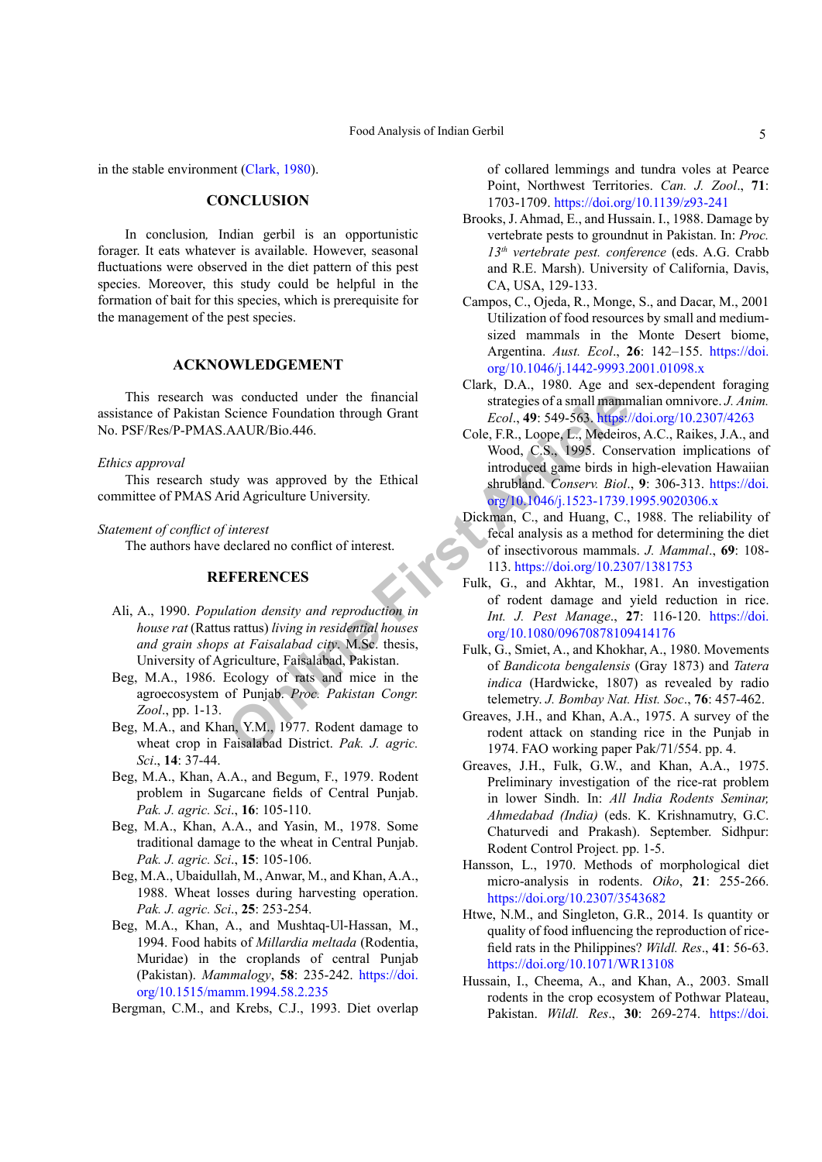in the stable environment ([Clark, 1980](#page-4-19)).

### **CONCLUSION**

In conclusion*,* Indian gerbil is an opportunistic forager. It eats whatever is available. However, seasonal fluctuations were observed in the diet pattern of this pest species. Moreover, this study could be helpful in the formation of bait for this species, which is prerequisite for the management of the pest species.

# **ACKNOWLEDGEMENT**

This research was conducted under the financial assistance of Pakistan Science Foundation through Grant No. PSF/Res/P-PMAS.AAUR/Bio.446.

### *Ethics approval*

This research study was approved by the Ethical committee of PMAS Arid Agriculture University.

### *Statement of conflict of interest*

The authors have declared no conflict of interest.

# <span id="page-4-4"></span><span id="page-4-3"></span>**REFERENCES**

- <span id="page-4-11"></span>Ali, A., 1990. *Population density and reproduction in house rat* (Rattus rattus) *living in residential houses and grain shops at Faisalabad city*. M.Sc. thesis, University of Agriculture, Faisalabad, Pakistan.
- <span id="page-4-12"></span>Beg, M.A., 1986. Ecology of rats and mice in the agroecosystem of Punjab. *Proc. Pakistan Congr. Zool*., pp. 1-13.
- <span id="page-4-5"></span>Beg, M.A., and Khan, Y.M., 1977. Rodent damage to wheat crop in Faisalabad District. *Pak. J. agric. Sci*., **14**: 37-44.
- <span id="page-4-7"></span>Beg, M.A., Khan, A.A., and Begum, F., 1979. Rodent problem in Sugarcane fields of Central Punjab. *Pak. J. agric. Sci*., **16**: 105-110.
- <span id="page-4-6"></span>Beg, M.A., Khan, A.A., and Yasin, M., 1978. Some traditional damage to the wheat in Central Punjab. *Pak. J. agric. Sci*., **15**: 105-106.
- <span id="page-4-15"></span><span id="page-4-8"></span>Beg, M.A., Ubaidullah, M., Anwar, M., and Khan, A.A., 1988. Wheat losses during harvesting operation. *Pak. J. agric. Sci*., **25**: 253-254.
- <span id="page-4-2"></span><span id="page-4-1"></span>Beg, M.A., Khan, A., and Mushtaq-Ul-Hassan, M., 1994. Food habits of *Millardia meltada* (Rodentia, Muridae) in the croplands of central Punjab (Pakistan). *Mammalogy*, **58**: 235-242. [https://doi.](https://doi.org/10.1515/mamm.1994.58.2.235) [org/10.1515/mamm.1994.58.2.235](https://doi.org/10.1515/mamm.1994.58.2.235)

<span id="page-4-17"></span><span id="page-4-14"></span>Bergman, C.M., and Krebs, C.J., 1993. Diet overlap

of collared lemmings and tundra voles at Pearce Point, Northwest Territories. *Can. J. Zool*., **71**: 1703-1709.<https://doi.org/10.1139/z93-241>

- <span id="page-4-13"></span>Brooks, J. Ahmad, E., and Hussain. I., 1988. Damage by vertebrate pests to groundnut in Pakistan. In: *Proc. 13th vertebrate pest. conference* (eds. A.G. Crabb and R.E. Marsh). University of California, Davis, CA, USA, 129-133.
- <span id="page-4-18"></span>Campos, C., Ojeda, R., Monge, S., and Dacar, M., 2001 Utilization of food resources by small and mediumsized mammals in the Monte Desert biome, Argentina. *Aust. Ecol*., **26**: 142–155. [https://doi.](https://doi.org/10.1046/j.1442-9993.2001.01098.x) [org/10.1046/j.1442-9993.2001.01098.x](https://doi.org/10.1046/j.1442-9993.2001.01098.x)
- <span id="page-4-19"></span><span id="page-4-16"></span><span id="page-4-10"></span><span id="page-4-9"></span><span id="page-4-0"></span>Clark, D.A., 1980. Age and sex-dependent foraging strategies of a small mammalian omnivore. *J. Anim. Ecol*., **49**: 549-563. <https://doi.org/10.2307/4263>
- articleared under the financial<br>
Science Foundation through Grant<br>
Science Foundation through Grant<br>
Science Foundation through Grant<br>
Cole, F.R., Loope, L., Medeiro<br>
Wood, C.S., 1995. Conserv. Biol.<br>
introduced game birds Cole, F.R., Loope, L., Medeiros, A.C., Raikes, J.A., and Wood, C.S., 1995. Conservation implications of introduced game birds in high-elevation Hawaiian shrubland. *Conserv. Biol*., **9**: 306-313. [https://doi.](https://doi.org/10.1046/j.1523-1739.1995.9020306.x) [org/10.1046/j.1523-1739.1995.9020306.x](https://doi.org/10.1046/j.1523-1739.1995.9020306.x)
	- Dickman, C., and Huang, C., 1988. The reliability of fecal analysis as a method for determining the diet of insectivorous mammals. *J. Mammal*., **69**: 108- 113. <https://doi.org/10.2307/1381753>
	- Fulk, G., and Akhtar, M., 1981. An investigation of rodent damage and yield reduction in rice. *Int. J. Pest Manage*., **27**: 116-120. [https://doi.](https://doi.org/10.1080/09670878109414176) org/10.1080/09670878109414176
	- Fulk, G., Smiet, A., and Khokhar, A., 1980. Movements of *Bandicota bengalensis* (Gray 1873) and *Tatera indica* (Hardwicke, 1807) as revealed by radio telemetry. *J. Bombay Nat. Hist. Soc*., **76**: 457-462.
	- Greaves, J.H., and Khan, A.A., 1975. A survey of the rodent attack on standing rice in the Punjab in 1974. FAO working paper Pak/71/554. pp. 4.
	- Greaves, J.H., Fulk, G.W., and Khan, A.A., 1975. Preliminary investigation of the rice-rat problem in lower Sindh. In: *All India Rodents Seminar, Ahmedabad (India)* (eds. K. Krishnamutry, G.C. Chaturvedi and Prakash). September. Sidhpur: Rodent Control Project. pp. 1-5.
	- Hansson, L., 1970. Methods of morphological diet micro-analysis in rodents. *Oiko*, **21**: 255-266. <https://doi.org/10.2307/3543682>
	- Htwe, N.M., and Singleton, G.R., 2014. Is quantity or quality of food influencing the reproduction of ricefield rats in the Philippines? *Wildl. Res*., **41**: 56-63. <https://doi.org/10.1071/WR13108>
	- Hussain, I., Cheema, A., and Khan, A., 2003. Small rodents in the crop ecosystem of Pothwar Plateau, Pakistan. *Wildl. Res*., **30**: 269-274. [https://doi.](https://doi.org/10.1071/WR01025)